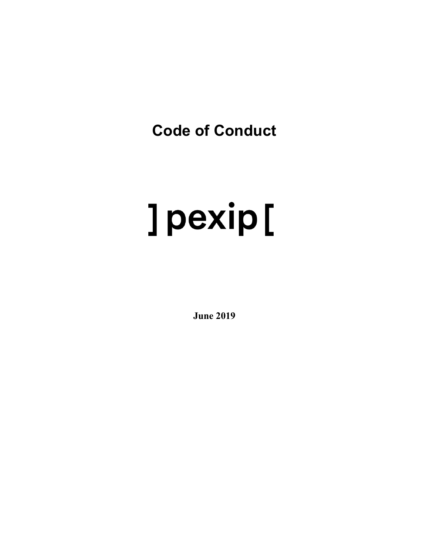**Code of Conduct**

# ] pexip [

**June 2019**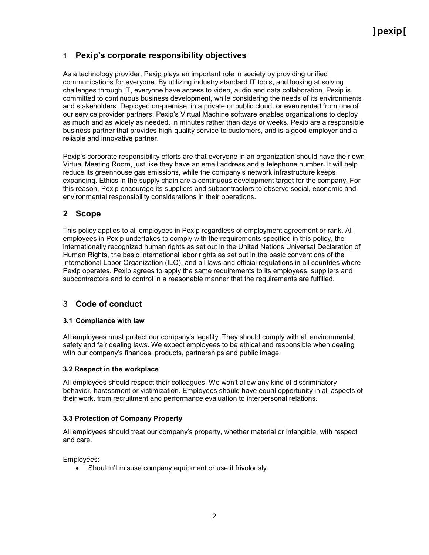# **1 Pexip's corporate responsibility objectives**

As a technology provider, Pexip plays an important role in society by providing unified communications for everyone. By utilizing industry standard IT tools, and looking at solving challenges through IT, everyone have access to video, audio and data collaboration. Pexip is committed to continuous business development, while considering the needs of its environments and stakeholders. Deployed on-premise, in a private or public cloud, or even rented from one of our service provider partners, Pexip's Virtual Machine software enables organizations to deploy as much and as widely as needed, in minutes rather than days or weeks. Pexip are a responsible business partner that provides high-quality service to customers, and is a good employer and a reliable and innovative partner.

Pexip's corporate responsibility efforts are that everyone in an organization should have their own Virtual Meeting Room, just like they have an email address and a telephone number**.** It will help reduce its greenhouse gas emissions, while the company's network infrastructure keeps expanding. Ethics in the supply chain are a continuous development target for the company. For this reason, Pexip encourage its suppliers and subcontractors to observe social, economic and environmental responsibility considerations in their operations.

# **2 Scope**

This policy applies to all employees in Pexip regardless of employment agreement or rank. All employees in Pexip undertakes to comply with the requirements specified in this policy, the internationally recognized human rights as set out in the United Nations Universal Declaration of Human Rights, the basic international labor rights as set out in the basic conventions of the International Labor Organization (ILO), and all laws and official regulations in all countries where Pexip operates. Pexip agrees to apply the same requirements to its employees, suppliers and subcontractors and to control in a reasonable manner that the requirements are fulfilled.

# 3 **Code of conduct**

## **3.1 Compliance with law**

All employees must protect our company's legality. They should comply with all environmental, safety and fair dealing laws. We expect employees to be ethical and responsible when dealing with our company's finances, products, partnerships and public image.

## **3.2 Respect in the workplace**

All employees should respect their colleagues. We won't allow any kind of discriminatory behavior, [harassment](https://resources.workable.com/workplace-harassment-company-policy) or victimization. Employees should have [equal opportunity](https://resources.workable.com/equal-opportunity-company-policy) in all aspects of their work, from recruitment and performance evaluation to interpersonal relations.

## **3.3 Protection of Company Property**

All employees should treat our company's property, whether material or intangible, with respect and care.

Employees:

• Shouldn't misuse company equipment or use it frivolously.